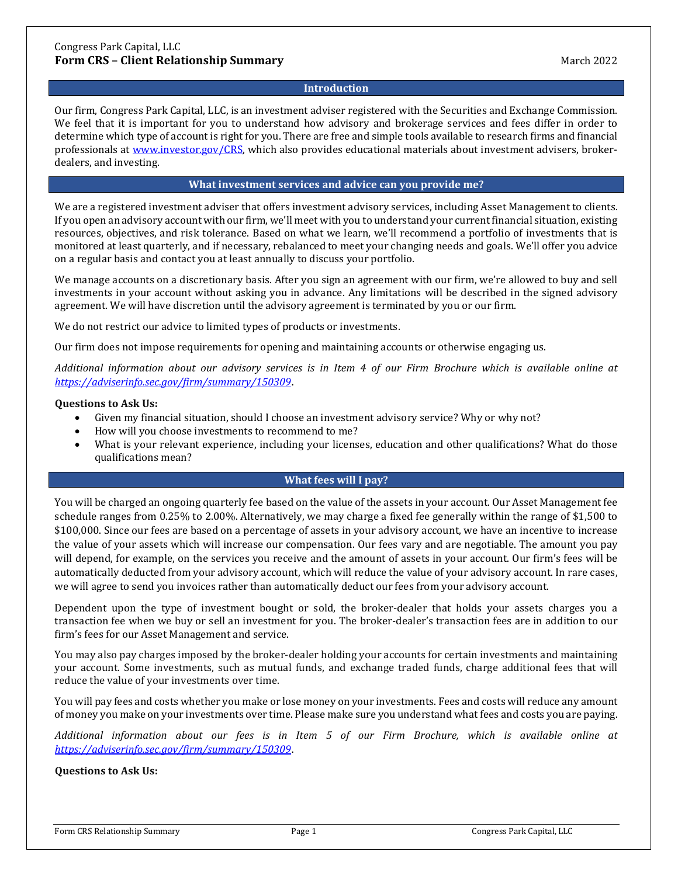## **Introduction**

Our firm, Congress Park Capital, LLC, is an investment adviser registered with the Securities and Exchange Commission. We feel that it is important for you to understand how advisory and brokerage services and fees differ in order to determine which type of account is right for you. There are free and simple tools available to research firms and financial professionals at [www.investor.gov/CRS,](http://www.investor.gov/CRS) which also provides educational materials about investment advisers, brokerdealers, and investing.

## **What investment services and advice can you provide me?**

We are a registered investment adviser that offers investment advisory services, including Asset Management to clients. If you open an advisory account with our firm, we'll meet with you to understand your current financial situation, existing resources, objectives, and risk tolerance. Based on what we learn, we'll recommend a portfolio of investments that is monitored at least quarterly, and if necessary, rebalanced to meet your changing needs and goals. We'll offer you advice on a regular basis and contact you at least annually to discuss your portfolio.

We manage accounts on a discretionary basis. After you sign an agreement with our firm, we're allowed to buy and sell investments in your account without asking you in advance. Any limitations will be described in the signed advisory agreement. We will have discretion until the advisory agreement is terminated by you or our firm.

We do not restrict our advice to limited types of products or investments.

Our firm does not impose requirements for opening and maintaining accounts or otherwise engaging us.

*Additional information about our advisory services is in Item 4 of our Firm Brochure which is available online at <https://adviserinfo.sec.gov/firm/summary/150309>*.

#### **Questions to Ask Us:**

- Given my financial situation, should I choose an investment advisory service? Why or why not?
- How will you choose investments to recommend to me?
- What is your relevant experience, including your licenses, education and other qualifications? What do those qualifications mean?

## **What fees will I pay?**

You will be charged an ongoing quarterly fee based on the value of the assets in your account. Our Asset Management fee schedule ranges from 0.25% to 2.00%. Alternatively, we may charge a fixed fee generally within the range of \$1,500 to \$100,000. Since our fees are based on a percentage of assets in your advisory account, we have an incentive to increase the value of your assets which will increase our compensation. Our fees vary and are negotiable. The amount you pay will depend, for example, on the services you receive and the amount of assets in your account. Our firm's fees will be automatically deducted from your advisory account, which will reduce the value of your advisory account. In rare cases, we will agree to send you invoices rather than automatically deduct our fees from your advisory account.

Dependent upon the type of investment bought or sold, the broker-dealer that holds your assets charges you a transaction fee when we buy or sell an investment for you. The broker-dealer's transaction fees are in addition to our firm's fees for our Asset Management and service.

You may also pay charges imposed by the broker-dealer holding your accounts for certain investments and maintaining your account. Some investments, such as mutual funds, and exchange traded funds, charge additional fees that will reduce the value of your investments over time.

You will pay fees and costs whether you make or lose money on your investments. Fees and costs will reduce any amount of money you make on your investments over time. Please make sure you understand what fees and costs you are paying.

*Additional information about our fees is in Item 5 of our Firm Brochure, which is available online at <https://adviserinfo.sec.gov/firm/summary/150309>*.

**Questions to Ask Us:**